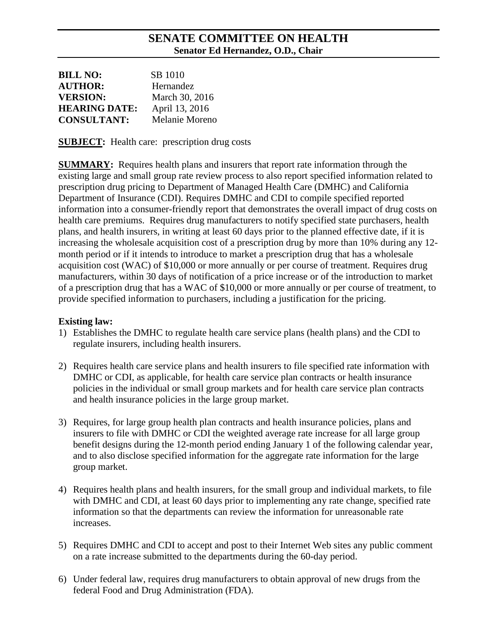## **SENATE COMMITTEE ON HEALTH Senator Ed Hernandez, O.D., Chair**

| <b>BILL NO:</b>      | SB 1010        |
|----------------------|----------------|
| <b>AUTHOR:</b>       | Hernandez      |
| <b>VERSION:</b>      | March 30, 2016 |
| <b>HEARING DATE:</b> | April 13, 2016 |
| <b>CONSULTANT:</b>   | Melanie Moreno |

**SUBJECT:** Health care: prescription drug costs

**SUMMARY:** Requires health plans and insurers that report rate information through the existing large and small group rate review process to also report specified information related to prescription drug pricing to Department of Managed Health Care (DMHC) and California Department of Insurance (CDI). Requires DMHC and CDI to compile specified reported information into a consumer-friendly report that demonstrates the overall impact of drug costs on health care premiums. Requires drug manufacturers to notify specified state purchasers, health plans, and health insurers, in writing at least 60 days prior to the planned effective date, if it is increasing the wholesale acquisition cost of a prescription drug by more than 10% during any 12 month period or if it intends to introduce to market a prescription drug that has a wholesale acquisition cost (WAC) of \$10,000 or more annually or per course of treatment. Requires drug manufacturers, within 30 days of notification of a price increase or of the introduction to market of a prescription drug that has a WAC of \$10,000 or more annually or per course of treatment, to provide specified information to purchasers, including a justification for the pricing.

#### **Existing law:**

- 1) Establishes the DMHC to regulate health care service plans (health plans) and the CDI to regulate insurers, including health insurers.
- 2) Requires health care service plans and health insurers to file specified rate information with DMHC or CDI, as applicable, for health care service plan contracts or health insurance policies in the individual or small group markets and for health care service plan contracts and health insurance policies in the large group market.
- 3) Requires, for large group health plan contracts and health insurance policies, plans and insurers to file with DMHC or CDI the weighted average rate increase for all large group benefit designs during the 12-month period ending January 1 of the following calendar year, and to also disclose specified information for the aggregate rate information for the large group market.
- 4) Requires health plans and health insurers, for the small group and individual markets, to file with DMHC and CDI, at least 60 days prior to implementing any rate change, specified rate information so that the departments can review the information for unreasonable rate increases.
- 5) Requires DMHC and CDI to accept and post to their Internet Web sites any public comment on a rate increase submitted to the departments during the 60-day period.
- 6) Under federal law, requires drug manufacturers to obtain approval of new drugs from the federal Food and Drug Administration (FDA).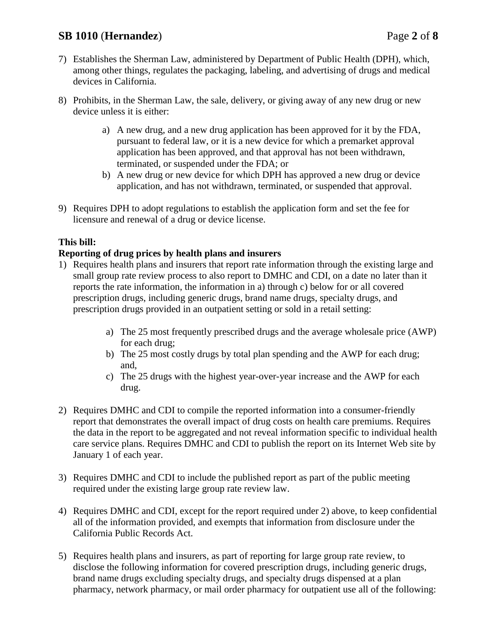# **SB 1010** (**Hernandez**) Page **2** of **8**

- 7) Establishes the Sherman Law, administered by Department of Public Health (DPH), which, among other things, regulates the packaging, labeling, and advertising of drugs and medical devices in California.
- 8) Prohibits, in the Sherman Law, the sale, delivery, or giving away of any new drug or new device unless it is either:
	- a) A new drug, and a new drug application has been approved for it by the FDA, pursuant to federal law, or it is a new device for which a premarket approval application has been approved, and that approval has not been withdrawn, terminated, or suspended under the FDA; or
	- b) A new drug or new device for which DPH has approved a new drug or device application, and has not withdrawn, terminated, or suspended that approval.
- 9) Requires DPH to adopt regulations to establish the application form and set the fee for licensure and renewal of a drug or device license.

### **This bill:**

### **Reporting of drug prices by health plans and insurers**

- 1) Requires health plans and insurers that report rate information through the existing large and small group rate review process to also report to DMHC and CDI, on a date no later than it reports the rate information, the information in a) through c) below for or all covered prescription drugs, including generic drugs, brand name drugs, specialty drugs, and prescription drugs provided in an outpatient setting or sold in a retail setting:
	- a) The 25 most frequently prescribed drugs and the average wholesale price (AWP) for each drug;
	- b) The 25 most costly drugs by total plan spending and the AWP for each drug; and,
	- c) The 25 drugs with the highest year-over-year increase and the AWP for each drug.
- 2) Requires DMHC and CDI to compile the reported information into a consumer-friendly report that demonstrates the overall impact of drug costs on health care premiums. Requires the data in the report to be aggregated and not reveal information specific to individual health care service plans. Requires DMHC and CDI to publish the report on its Internet Web site by January 1 of each year.
- 3) Requires DMHC and CDI to include the published report as part of the public meeting required under the existing large group rate review law.
- 4) Requires DMHC and CDI, except for the report required under 2) above, to keep confidential all of the information provided, and exempts that information from disclosure under the California Public Records Act.
- 5) Requires health plans and insurers, as part of reporting for large group rate review, to disclose the following information for covered prescription drugs, including generic drugs, brand name drugs excluding specialty drugs, and specialty drugs dispensed at a plan pharmacy, network pharmacy, or mail order pharmacy for outpatient use all of the following: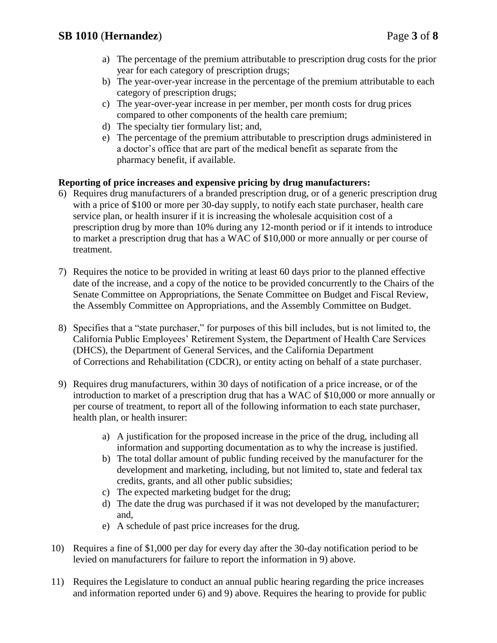- a) The percentage of the premium attributable to prescription drug costs for the prior year for each category of prescription drugs;
- b) The year-over-year increase in the percentage of the premium attributable to each category of prescription drugs;
- c) The year-over-year increase in per member, per month costs for drug prices compared to other components of the health care premium;
- d) The specialty tier formulary list; and,
- e) The percentage of the premium attributable to prescription drugs administered in a doctor's office that are part of the medical benefit as separate from the pharmacy benefit, if available.

## **Reporting of price increases and expensive pricing by drug manufacturers:**

- 6) Requires drug manufacturers of a branded prescription drug, or of a generic prescription drug with a price of \$100 or more per 30-day supply, to notify each state purchaser, health care service plan, or health insurer if it is increasing the wholesale acquisition cost of a prescription drug by more than 10% during any 12-month period or if it intends to introduce to market a prescription drug that has a WAC of \$10,000 or more annually or per course of treatment.
- 7) Requires the notice to be provided in writing at least 60 days prior to the planned effective date of the increase, and a copy of the notice to be provided concurrently to the Chairs of the Senate Committee on Appropriations, the Senate Committee on Budget and Fiscal Review, the Assembly Committee on Appropriations, and the Assembly Committee on Budget.
- 8) Specifies that a "state purchaser," for purposes of this bill includes, but is not limited to, the California Public Employees' Retirement System, the Department of Health Care Services (DHCS), the Department of General Services, and the California Department of Corrections and Rehabilitation (CDCR), or entity acting on behalf of a state purchaser.
- 9) Requires drug manufacturers, within 30 days of notification of a price increase, or of the introduction to market of a prescription drug that has a WAC of \$10,000 or more annually or per course of treatment, to report all of the following information to each state purchaser, health plan, or health insurer:
	- a) A justification for the proposed increase in the price of the drug, including all information and supporting documentation as to why the increase is justified.
	- b) The total dollar amount of public funding received by the manufacturer for the development and marketing, including, but not limited to, state and federal tax credits, grants, and all other public subsidies;
	- c) The expected marketing budget for the drug;
	- d) The date the drug was purchased if it was not developed by the manufacturer; and,
	- e) A schedule of past price increases for the drug.
- 10) Requires a fine of \$1,000 per day for every day after the 30-day notification period to be levied on manufacturers for failure to report the information in 9) above.
- 11) Requires the Legislature to conduct an annual public hearing regarding the price increases and information reported under 6) and 9) above. Requires the hearing to provide for public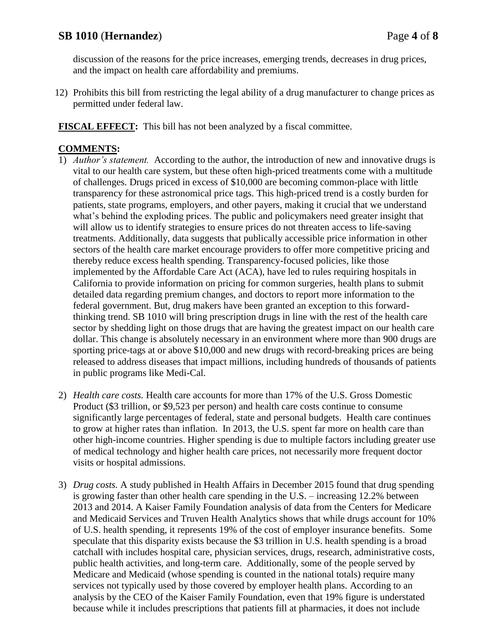# **SB 1010** (**Hernandez**) Page **4** of **8**

discussion of the reasons for the price increases, emerging trends, decreases in drug prices, and the impact on health care affordability and premiums.

12) Prohibits this bill from restricting the legal ability of a drug manufacturer to change prices as permitted under federal law.

**FISCAL EFFECT:** This bill has not been analyzed by a fiscal committee.

### **COMMENTS:**

- 1) *Author's statement.*According to the author, the introduction of new and innovative drugs is vital to our health care system, but these often high-priced treatments come with a multitude of challenges. Drugs priced in excess of \$10,000 are becoming common-place with little transparency for these astronomical price tags. This high-priced trend is a costly burden for patients, state programs, employers, and other payers, making it crucial that we understand what's behind the exploding prices. The public and policymakers need greater insight that will allow us to identify strategies to ensure prices do not threaten access to life-saving treatments. Additionally, data suggests that publically accessible price information in other sectors of the health care market encourage providers to offer more competitive pricing and thereby reduce excess health spending. Transparency-focused policies, like those implemented by the Affordable Care Act (ACA), have led to rules requiring hospitals in California to provide information on pricing for common surgeries, health plans to submit detailed data regarding premium changes, and doctors to report more information to the federal government. But, drug makers have been granted an exception to this forwardthinking trend. SB 1010 will bring prescription drugs in line with the rest of the health care sector by shedding light on those drugs that are having the greatest impact on our health care dollar. This change is absolutely necessary in an environment where more than 900 drugs are sporting price-tags at or above \$10,000 and new drugs with record-breaking prices are being released to address diseases that impact millions, including hundreds of thousands of patients in public programs like Medi-Cal.
- 2) *Health care costs.* Health care accounts for more than 17% of the U.S. Gross Domestic Product (\$3 trillion, or \$9,523 per person) and health care costs continue to consume significantly large percentages of federal, state and personal budgets. Health care continues to grow at higher rates than inflation. In 2013, the U.S. spent far more on health care than other high-income countries. Higher spending is due to multiple factors including greater use of medical technology and higher health care prices, not necessarily more frequent doctor visits or hospital admissions.
- 3) *Drug costs.* A study published in Health Affairs in December 2015 found that drug spending is growing faster than other health care spending in the U.S. – increasing 12.2% between 2013 and 2014. A Kaiser Family Foundation analysis of data from the Centers for Medicare and Medicaid Services and Truven Health Analytics shows that while drugs account for 10% of U.S. health spending, it represents 19% of the cost of employer insurance benefits. Some speculate that this disparity exists because the \$3 trillion in U.S. health spending is a broad catchall with includes hospital care, physician services, drugs, research, administrative costs, public health activities, and long-term care. Additionally, some of the people served by Medicare and Medicaid (whose spending is counted in the national totals) require many services not typically used by those covered by employer health plans. According to an analysis by the CEO of the Kaiser Family Foundation, even that 19% figure is understated because while it includes prescriptions that patients fill at pharmacies, it does not include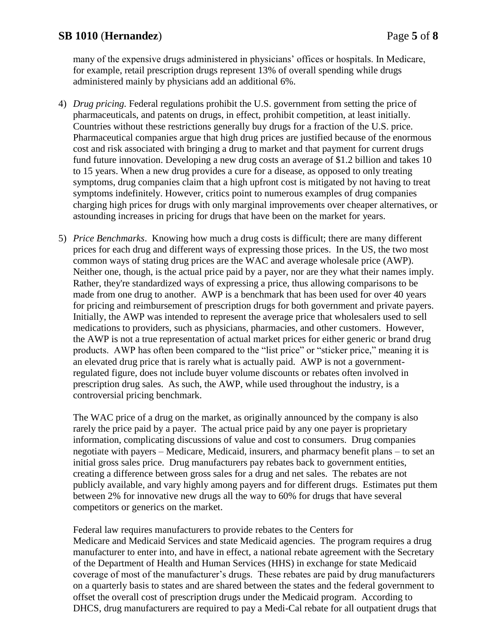many of the expensive drugs administered in physicians' offices or hospitals. In Medicare, for example, retail prescription drugs represent 13% of overall spending while drugs administered mainly by physicians add an additional 6%.

- 4) *Drug pricing.* Federal regulations prohibit the U.S. government from setting the price of pharmaceuticals, and patents on drugs, in effect, prohibit competition, at least initially. Countries without these restrictions generally buy drugs for a fraction of the U.S. price. Pharmaceutical companies argue that high drug prices are justified because of the enormous cost and risk associated with bringing a drug to market and that payment for current drugs fund future innovation. Developing a new drug costs an average of \$1.2 billion and takes 10 to 15 years. When a new drug provides a cure for a disease, as opposed to only treating symptoms, drug companies claim that a high upfront cost is mitigated by not having to treat symptoms indefinitely. However, critics point to numerous examples of drug companies charging high prices for drugs with only marginal improvements over cheaper alternatives, or astounding increases in pricing for drugs that have been on the market for years.
- 5) *Price Benchmarks*. Knowing how much a drug costs is difficult; there are many different prices for each drug and different ways of expressing those prices. In the US, the two most common ways of stating drug prices are the WAC and average wholesale price (AWP). Neither one, though, is the actual price paid by a payer, nor are they what their names imply. Rather, they're standardized ways of expressing a price, thus allowing comparisons to be made from one drug to another. AWP is a benchmark that has been used for over 40 years for pricing and reimbursement of prescription drugs for both government and private payers. Initially, the AWP was intended to represent the average price that wholesalers used to sell medications to providers, such as physicians, pharmacies, and other customers. However, the AWP is not a true representation of actual market prices for either generic or brand drug products. AWP has often been compared to the "list price" or "sticker price," meaning it is an elevated drug price that is rarely what is actually paid. AWP is not a governmentregulated figure, does not include buyer volume discounts or rebates often involved in prescription drug sales. As such, the AWP, while used throughout the industry, is a controversial pricing benchmark.

The WAC price of a drug on the market, as originally announced by the company is also rarely the price paid by a payer. The actual price paid by any one payer is proprietary information, complicating discussions of value and cost to consumers. Drug companies negotiate with payers – Medicare, Medicaid, insurers, and pharmacy benefit plans – to set an initial gross sales price. Drug manufacturers pay rebates back to government entities, creating a difference between gross sales for a drug and net sales. The rebates are not publicly available, and vary highly among payers and for different drugs. Estimates put them between 2% for innovative new drugs all the way to 60% for drugs that have several competitors or generics on the market.

Federal law requires manufacturers to provide rebates to the Centers for Medicare and Medicaid Services and state Medicaid agencies. The program requires a drug manufacturer to enter into, and have in effect, a national rebate agreement with the Secretary of the Department of Health and Human Services (HHS) in exchange for state Medicaid coverage of most of the manufacturer's drugs. These rebates are paid by drug manufacturers on a quarterly basis to states and are shared between the states and the federal government to offset the overall cost of prescription drugs under the Medicaid program. According to DHCS, drug manufacturers are required to pay a Medi-Cal rebate for all outpatient drugs that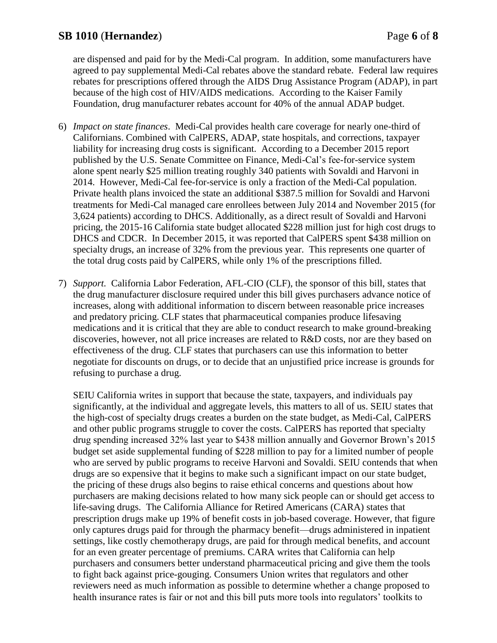are dispensed and paid for by the Medi-Cal program. In addition, some manufacturers have agreed to pay supplemental Medi-Cal rebates above the standard rebate. Federal law requires rebates for prescriptions offered through the AIDS Drug Assistance Program (ADAP), in part because of the high cost of HIV/AIDS medications. According to the Kaiser Family Foundation, drug manufacturer rebates account for 40% of the annual ADAP budget.

- 6) *Impact on state finances*. Medi-Cal provides health care coverage for nearly one-third of Californians. Combined with CalPERS, ADAP, state hospitals, and corrections, taxpayer liability for increasing drug costs is significant. According to a December 2015 report published by the U.S. Senate Committee on Finance, Medi-Cal's fee-for-service system alone spent nearly \$25 million treating roughly 340 patients with Sovaldi and Harvoni in 2014. However, Medi-Cal fee-for-service is only a fraction of the Medi-Cal population. Private health plans invoiced the state an additional \$387.5 million for Sovaldi and Harvoni treatments for Medi-Cal managed care enrollees between July 2014 and November 2015 (for 3,624 patients) according to DHCS. Additionally, as a direct result of Sovaldi and Harvoni pricing, the 2015-16 California state budget allocated \$228 million just for high cost drugs to DHCS and CDCR. In December 2015, it was reported that CalPERS spent \$438 million on specialty drugs, an increase of 32% from the previous year. This represents one quarter of the total drug costs paid by CalPERS, while only 1% of the prescriptions filled.
- 7) *Support.*California Labor Federation, AFL-CIO (CLF), the sponsor of this bill, states that the drug manufacturer disclosure required under this bill gives purchasers advance notice of increases, along with additional information to discern between reasonable price increases and predatory pricing. CLF states that pharmaceutical companies produce lifesaving medications and it is critical that they are able to conduct research to make ground-breaking discoveries, however, not all price increases are related to R&D costs, nor are they based on effectiveness of the drug. CLF states that purchasers can use this information to better negotiate for discounts on drugs, or to decide that an unjustified price increase is grounds for refusing to purchase a drug.

SEIU California writes in support that because the state, taxpayers, and individuals pay significantly, at the individual and aggregate levels, this matters to all of us. SEIU states that the high-cost of specialty drugs creates a burden on the state budget, as Medi-Cal, CalPERS and other public programs struggle to cover the costs. CalPERS has reported that specialty drug spending increased 32% last year to \$438 million annually and Governor Brown's 2015 budget set aside supplemental funding of \$228 million to pay for a limited number of people who are served by public programs to receive Harvoni and Sovaldi. SEIU contends that when drugs are so expensive that it begins to make such a significant impact on our state budget, the pricing of these drugs also begins to raise ethical concerns and questions about how purchasers are making decisions related to how many sick people can or should get access to life-saving drugs. The California Alliance for Retired Americans (CARA) states that prescription drugs make up 19% of benefit costs in job-based coverage. However, that figure only captures drugs paid for through the pharmacy benefit—drugs administered in inpatient settings, like costly chemotherapy drugs, are paid for through medical benefits, and account for an even greater percentage of premiums. CARA writes that California can help purchasers and consumers better understand pharmaceutical pricing and give them the tools to fight back against price-gouging. Consumers Union writes that regulators and other reviewers need as much information as possible to determine whether a change proposed to health insurance rates is fair or not and this bill puts more tools into regulators' toolkits to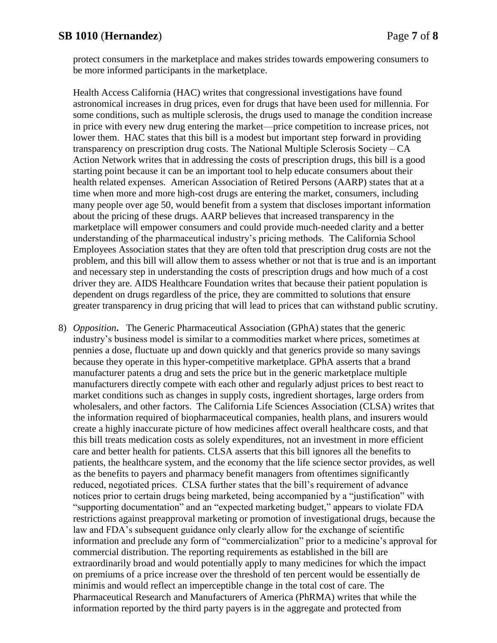protect consumers in the marketplace and makes strides towards empowering consumers to be more informed participants in the marketplace.

Health Access California (HAC) writes that congressional investigations have found astronomical increases in drug prices, even for drugs that have been used for millennia. For some conditions, such as multiple sclerosis, the drugs used to manage the condition increase in price with every new drug entering the market—price competition to increase prices, not lower them. HAC states that this bill is a modest but important step forward in providing transparency on prescription drug costs. The National Multiple Sclerosis Society – CA Action Network writes that in addressing the costs of prescription drugs, this bill is a good starting point because it can be an important tool to help educate consumers about their health related expenses. American Association of Retired Persons (AARP) states that at a time when more and more high-cost drugs are entering the market, consumers, including many people over age 50, would benefit from a system that discloses important information about the pricing of these drugs. AARP believes that increased transparency in the marketplace will empower consumers and could provide much-needed clarity and a better understanding of the pharmaceutical industry's pricing methods. The California School Employees Association states that they are often told that prescription drug costs are not the problem, and this bill will allow them to assess whether or not that is true and is an important and necessary step in understanding the costs of prescription drugs and how much of a cost driver they are. AIDS Healthcare Foundation writes that because their patient population is dependent on drugs regardless of the price, they are committed to solutions that ensure greater transparency in drug pricing that will lead to prices that can withstand public scrutiny.

8) *Opposition***.** The Generic Pharmaceutical Association (GPhA) states that the generic industry's business model is similar to a commodities market where prices, sometimes at pennies a dose, fluctuate up and down quickly and that generics provide so many savings because they operate in this hyper-competitive marketplace. GPhA asserts that a brand manufacturer patents a drug and sets the price but in the generic marketplace multiple manufacturers directly compete with each other and regularly adjust prices to best react to market conditions such as changes in supply costs, ingredient shortages, large orders from wholesalers, and other factors. The California Life Sciences Association (CLSA) writes that the information required of biopharmaceutical companies, health plans, and insurers would create a highly inaccurate picture of how medicines affect overall healthcare costs, and that this bill treats medication costs as solely expenditures, not an investment in more efficient care and better health for patients. CLSA asserts that this bill ignores all the benefits to patients, the healthcare system, and the economy that the life science sector provides, as well as the benefits to payers and pharmacy benefit managers from oftentimes significantly reduced, negotiated prices. CLSA further states that the bill's requirement of advance notices prior to certain drugs being marketed, being accompanied by a "justification" with "supporting documentation" and an "expected marketing budget," appears to violate FDA restrictions against preapproval marketing or promotion of investigational drugs, because the law and FDA's subsequent guidance only clearly allow for the exchange of scientific information and preclude any form of "commercialization" prior to a medicine's approval for commercial distribution. The reporting requirements as established in the bill are extraordinarily broad and would potentially apply to many medicines for which the impact on premiums of a price increase over the threshold of ten percent would be essentially de minimis and would reflect an imperceptible change in the total cost of care. The Pharmaceutical Research and Manufacturers of America (PhRMA) writes that while the information reported by the third party payers is in the aggregate and protected from